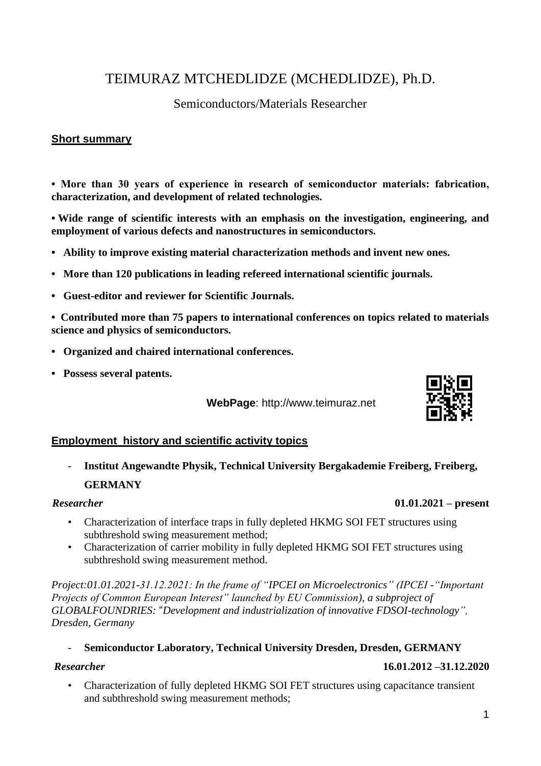# TEIMURAZ MTCHEDLIDZE (MCHEDLIDZE), Ph.D.

# Semiconductors/Materials Researcher

## **Short summary**

**• More than 30 years of experience in research of semiconductor materials: fabrication, characterization, and development of related technologies.** 

**• Wide range of scientific interests with an emphasis on the investigation, engineering, and employment of various defects and nanostructures in semiconductors.** 

- **Ability to improve existing material characterization methods and invent new ones.**
- **More than 120 publications in leading refereed international scientific journals.**
- **Guest-editor and reviewer for Scientific Journals.**

**• Contributed more than 75 papers to international conferences on topics related to materials science and physics of semiconductors.**

- **Organized and chaired international conferences.**
- **Possess several patents.**

## **WebPage**: [http://www.teimuraz.](http://www.teimuraz/)net

## **Employment history and scientific activity topics**

and subthreshold swing measurement methods;

- **Institut Angewandte Physik, Technical University Bergakademie Freiberg, Freiberg, GERMANY**

### *Researcher* **01.01.2021 – present**

- Characterization of interface traps in fully depleted HKMG SOI FET structures using subthreshold swing measurement method;
- Characterization of carrier mobility in fully depleted HKMG SOI FET structures using subthreshold swing measurement method.

*Project:01.01.2021-31.12.2021: In the frame of "IPCEI on Microelectronics" (IPCEI -"Important Projects of Common European Interest" launched by EU Commission), a subproject of GLOBALFOUNDRIES:* "*Development and industrialization of innovative FDSOI-technology", Dresden, Germany*

## - **Semiconductor Laboratory, Technical University Dresden, Dresden, GERMANY**

• Characterization of fully depleted HKMG SOI FET structures using capacitance transient

### *Researcher* **16.01.2012 –31.12.2020**



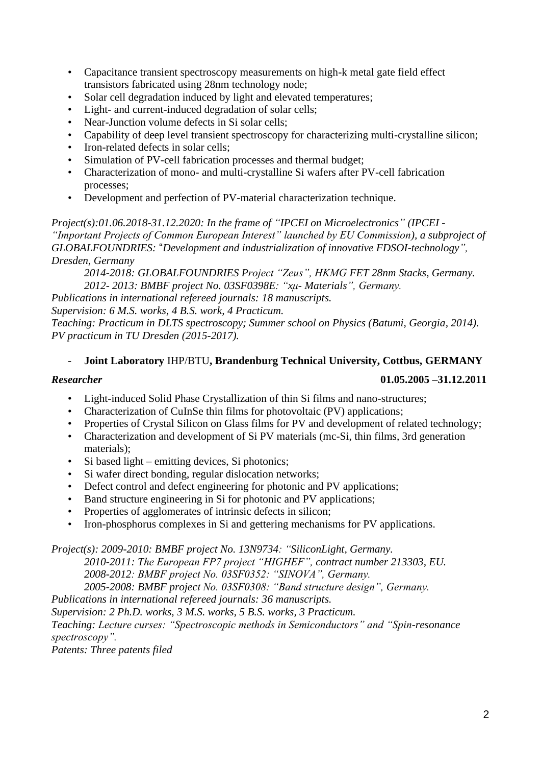- Capacitance transient spectroscopy measurements on high-k metal gate field effect transistors fabricated using 28nm technology node;
- Solar cell degradation induced by light and elevated temperatures;
- Light- and current-induced degradation of solar cells;
- Near-Junction volume defects in Si solar cells;
- Capability of deep level transient spectroscopy for characterizing multi-crystalline silicon;
- Iron-related defects in solar cells;
- Simulation of PV-cell fabrication processes and thermal budget;
- Characterization of mono- and multi-crystalline Si wafers after PV-cell fabrication processes;
- Development and perfection of PV-material characterization technique.

*Project(s):01.06.2018-31.12.2020: In the frame of "IPCEI on Microelectronics" (IPCEI - "Important Projects of Common European Interest" launched by EU Commission), a subproject of GLOBALFOUNDRIES:* "*Development and industrialization of innovative FDSOI-technology", Dresden, Germany*

*2014-2018: GLOBALFOUNDRIES Project "Zeus", HKMG FET 28nm Stacks, Germany. 2012- 2013: BMBF project No. 03SF0398E: "xμ- Materials", Germany.*

*Publications in international refereed journals: 18 manuscripts.*

*Supervision: 6 M.S. works, 4 B.S. work, 4 Practicum.*

*Teaching: Practicum in DLTS spectroscopy; Summer school on Physics (Batumi, Georgia, 2014). PV practicum in TU Dresden (2015-2017).*

## - **Joint Laboratory** IHP/BTU**, Brandenburg Technical University, Cottbus, GERMANY**

## *Researcher* **01.05.2005 –31.12.2011**

- Light-induced Solid Phase Crystallization of thin Si films and nano-structures;
- Characterization of CuInSe thin films for photovoltaic (PV) applications;
- Properties of Crystal Silicon on Glass films for PV and development of related technology;
- Characterization and development of Si PV materials (mc-Si, thin films, 3rd generation materials);
- Si based light emitting devices, Si photonics;
- Si wafer direct bonding, regular dislocation networks;
- Defect control and defect engineering for photonic and PV applications;
- Band structure engineering in Si for photonic and PV applications;
- Properties of agglomerates of intrinsic defects in silicon;
- Iron-phosphorus complexes in Si and gettering mechanisms for PV applications.

*Project(s): 2009-2010: BMBF project No. 13N9734: "SiliconLight, Germany.*

*2010-2011: The European FP7 project "HIGHEF", contract number 213303, EU. 2008-2012: BMBF project No. 03SF0352: "SINOVA", Germany.* 

*2005-2008: BMBF project No. 03SF0308: "Band structure design", Germany.*

*Publications in international refereed journals: 36 manuscripts.*

*Supervision: 2 Ph.D. works, 3 M.S. works, 5 B.S. works, 3 Practicum.*

*Teaching: Lecture curses: "Spectroscopic methods in Semiconductors" and "Spin-resonance spectroscopy".*

*Patents: Three patents filed*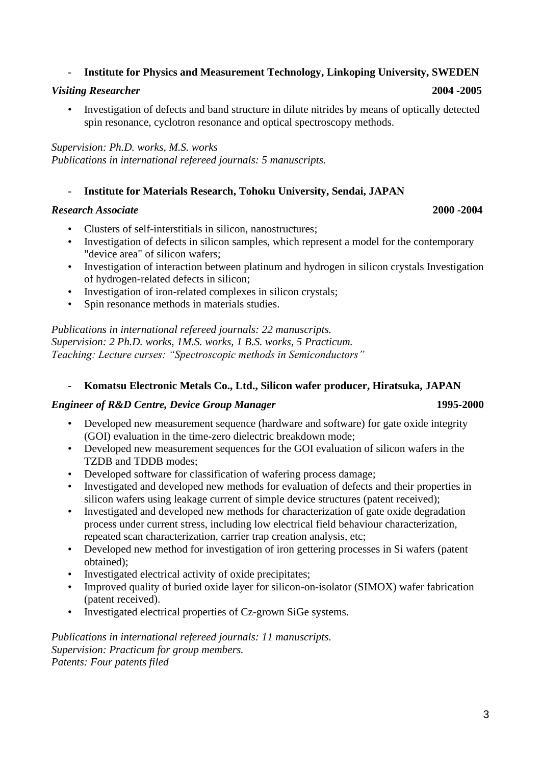## - **[Institute for Physics and Measurement Technology,](http://www.ifm.liu.se/) Linkoping University, SWEDEN**

## *Visiting Researcher* **2004 -2005**

• Investigation of defects and band structure in dilute nitrides by means of optically detected spin resonance, cyclotron resonance and optical spectroscopy methods.

*Supervision: Ph.D. works, M.S. works*

*Publications in international refereed journals: 5 manuscripts.*

## - **[Institute for Materials Research,](http://www.tohoku.ac.jp/) Tohoku University, Sendai, JAPAN**

## *Research Associate* **2000 -2004**

- Clusters of self-interstitials in silicon, nanostructures;
- Investigation of defects in silicon samples, which represent a model for the contemporary "device area" of silicon wafers;
- Investigation of interaction between platinum and hydrogen in silicon crystals Investigation of hydrogen-related defects in silicon;
- Investigation of iron-related complexes in silicon crystals;
- Spin resonance methods in materials studies.

*Publications in international refereed journals: 22 manuscripts. Supervision: 2 Ph.D. works, 1M.S. works, 1 B.S. works, 5 Practicum. Teaching: Lecture curses: "Spectroscopic methods in Semiconductors"* 

## - **[Komatsu Electronic Metals Co., Ltd.](http://www.komatsu.com/el/index.htm), Silicon wafer producer, Hiratsuka, JAPAN**

## *Engineer of R&D Centre, Device Group Manager* **1995-2000**

- Developed new measurement sequence (hardware and software) for gate oxide integrity (GOI) evaluation in the time-zero dielectric breakdown mode;
- Developed new measurement sequences for the GOI evaluation of silicon wafers in the TZDB and TDDB modes;
- Developed software for classification of wafering process damage;
- Investigated and developed new methods for evaluation of defects and their properties in silicon wafers using leakage current of simple device structures (patent received);
- Investigated and developed new methods for characterization of gate oxide degradation process under current stress, including low electrical field behaviour characterization, repeated scan characterization, carrier trap creation analysis, etc;
- Developed new method for investigation of iron gettering processes in Si wafers (patent obtained);
- Investigated electrical activity of oxide precipitates;
- Improved quality of buried oxide layer for silicon-on-isolator (SIMOX) wafer fabrication (patent received).
- Investigated electrical properties of Cz-grown SiGe systems.

*Publications in international refereed journals: 11 manuscripts. Supervision: Practicum for group members. Patents: Four patents filed*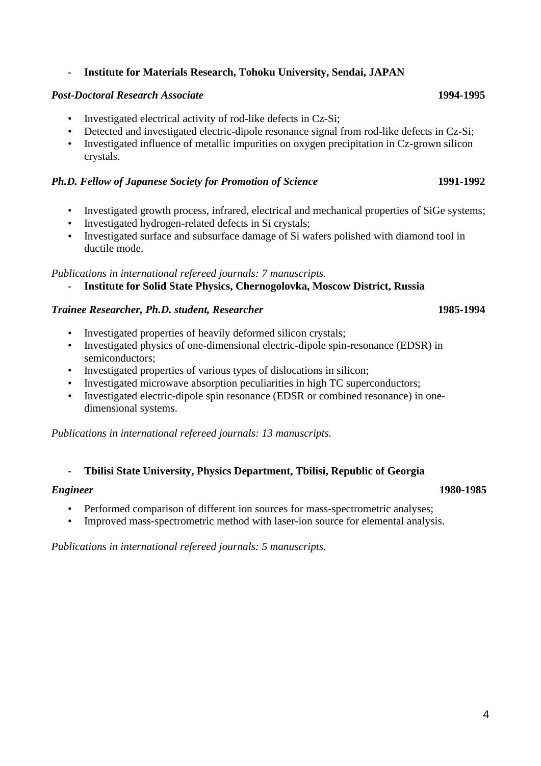# - **[Institute for Materials Research, Tohoku University,](http://www.tohoku.ac.jp/) Sendai, JAPAN**

# *Post-Doctoral Research Associate* **1994-1995**

- Investigated electrical activity of rod-like defects in Cz-Si;
- Detected and investigated electric-dipole resonance signal from rod-like defects in Cz-Si;
- Investigated influence of metallic impurities on oxygen precipitation in Cz-grown silicon crystals.

# *Ph.D. Fellow of Japanese Society for Promotion of Science* **1991-1992**

- Investigated growth process, infrared, electrical and mechanical properties of SiGe systems;
- Investigated hydrogen-related defects in Si crystals;
- Investigated surface and subsurface damage of Si wafers polished with diamond tool in ductile mode.

# *Publications in international refereed journals: 7 manuscripts.*

- **[Institute for Solid State Physics,](http://www.issp.ac.ru/ISSP.en.html) Chernogolovka, Moscow District, Russia** 

# *Trainee Researcher, Ph.D. student, Researcher* **1985-1994**

- Investigated properties of heavily deformed silicon crystals;
- Investigated physics of one-dimensional electric-dipole spin-resonance (EDSR) in semiconductors;
- Investigated properties of various types of dislocations in silicon;
- Investigated microwave absorption peculiarities in high TC superconductors;
- Investigated electric-dipole spin resonance (EDSR or combined resonance) in onedimensional systems.

*Publications in international refereed journals: 13 manuscripts.*

# - **[Tbilisi State University,](http://www.tsu.viam.hepi.edu.ge/) Physics Department, Tbilisi, Republic of Georgia**

# *Engineer* **1980-1985**

- Performed comparison of different ion sources for mass-spectrometric analyses;
- Improved mass-spectrometric method with laser-ion source for elemental analysis.

*Publications in international refereed journals: 5 manuscripts.*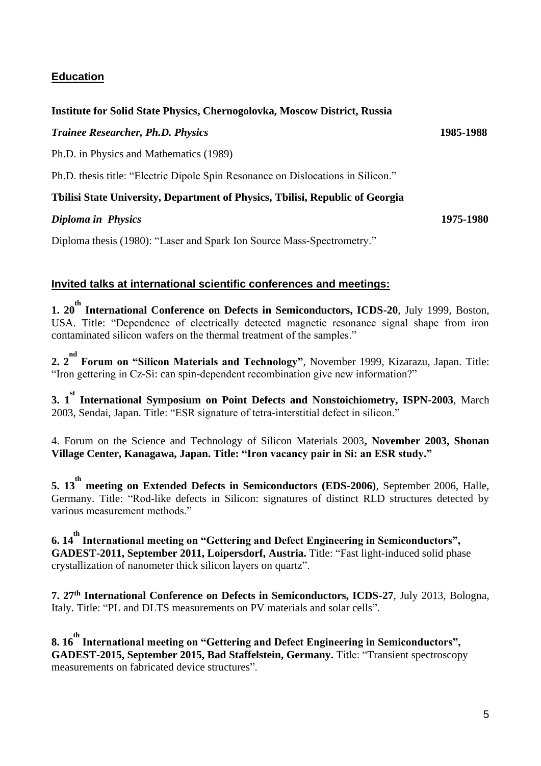## **Education**

### **[Institute for Solid State Physics,](http://www.issp.ac.ru/ISSP.en.html) Chernogolovka, Moscow District, Russia**

*Trainee Researcher, Ph.D. Physics* **1985-1988** 

Ph.D. in Physics and Mathematics (1989)

Ph.D. thesis title: "Electric Dipole Spin Resonance on Dislocations in Silicon."

## **[Tbilisi State University, Department of Physics,](http://www.tsu.viam.hepi.edu.ge/) Tbilisi, Republic of Georgia**

### *Diploma in Physics* **1975-1980**

Diploma thesis (1980): "Laser and Spark Ion Source Mass-Spectrometry."

## **Invited talks at international scientific conferences and meetings:**

**1. 20 th International Conference on Defects in Semiconductors, ICDS-20**, July 1999, Boston, USA. Title: "Dependence of electrically detected magnetic resonance signal shape from iron contaminated silicon wafers on the thermal treatment of the samples."

**2. 2 nd Forum on "Silicon Materials and Technology"**, November 1999, Kizarazu, Japan. Title: "Iron gettering in Cz-Si: can spin-dependent recombination give new information?"

**3. 1 st International Symposium on Point Defects and Nonstoichiometry, ISPN-2003**, March 2003, Sendai, Japan. Title: "ESR signature of tetra-interstitial defect in silicon."

4. Forum on the Science and Technology of Silicon Materials 2003**, November 2003, Shonan Village Center, Kanagawa, Japan. Title: "Iron vacancy pair in Si: an ESR study."** 

**5. 13<sup>th</sup> meeting on Extended Defects in Semiconductors (EDS-2006), September 2006, Halle,** Germany. Title: "Rod-like defects in Silicon: signatures of distinct RLD structures detected by various measurement methods."

**6. 14 th International meeting on "Gettering and Defect Engineering in Semiconductors", GADEST-2011, September 2011, Loipersdorf, Austria.** Title: "Fast light-induced solid phase crystallization of nanometer thick silicon layers on quartz".

**7. 27th International Conference on Defects in Semiconductors, ICDS-27**, July 2013, Bologna, Italy. Title: "PL and DLTS measurements on PV materials and solar cells".

**8. 16 th International meeting on "Gettering and Defect Engineering in Semiconductors", GADEST-2015, September 2015, Bad Staffelstein, Germany.** Title: "Transient spectroscopy measurements on fabricated device structures".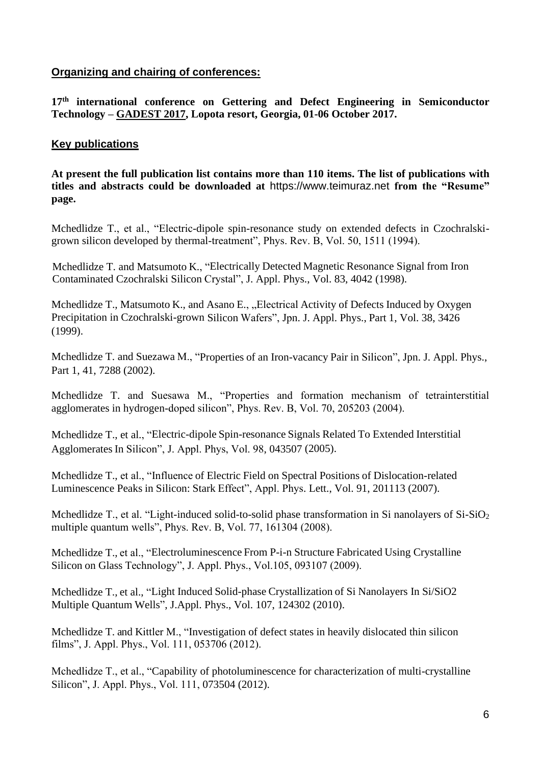## **Organizing and chairing of conferences:**

**17th international conference on Gettering and Defect Engineering in Semiconductor Technology – [GADEST 2017,](https://www.gadest2017.com/) Lopota resort, Georgia, 01-06 October 2017.**

## **Key publications**

**At present the full publication list contains more than 110 items. The list of publications with titles and abstracts could be downloaded at** https://www.teimuraz.net **from the "Resume" page.**

Mchedlidze T., et al., "Electric-dipole spin-resonance study on extended defects in Czochralskigrown silicon developed by thermal-treatment", Phys. Rev. B, Vol. 50, 1511 (1994).

Mchedlidze T. and Matsumoto K., "Electrically Detected Magnetic Resonance Signal from Iron Contaminated Czochralski Silicon Crystal", J. Appl. Phys., Vol. 83, 4042 (1998).

Mchedlidze T., Matsumoto K., and Asano E., "Electrical Activity of Defects Induced by Oxygen Precipitation in Czochralski-grown Silicon Wafers", Jpn. J. Appl. Phys., Part 1, Vol. 38, 3426 (1999).

Mchedlidze T. and Suezawa M., "Properties of an Iron-vacancy Pair in Silicon", Jpn. J. Appl. Phys., Part 1, 41, 7288 (2002).

Mchedlidze T. and Suesawa M., "Properties and formation mechanism of tetrainterstitial agglomerates in hydrogen-doped silicon", Phys. Rev. B, Vol. 70, 205203 (2004).

Mchedlidze T., et al., "Electric-dipole Spin-resonance Signals Related To Extended Interstitial Agglomerates In Silicon", J. Appl. Phys, Vol. 98, 043507 (2005).

Mchedlidze T., et al., "Influence of Electric Field on Spectral Positions of Dislocation-related Luminescence Peaks in Silicon: Stark Effect", Appl. Phys. Lett., Vol. 91, 201113 (2007).

Mchedlidze T., et al. "Light-induced solid-to-solid phase transformation in Si nanolayers of Si-SiO<sub>2</sub> multiple quantum wells", Phys. Rev. B, Vol. 77, 161304 (2008).

Mchedlidze T., et al., "Electroluminescence From P-i-n Structure Fabricated Using Crystalline Silicon on Glass Technology", J. Appl. Phys., Vol.105, 093107 (2009).

Mchedlidze T., et al., "Light Induced Solid-phase Crystallization of Si Nanolayers In Si/SiO2 Multiple Quantum Wells", J.Appl. Phys., Vol. 107, 124302 (2010).

Mchedlidze T. and Kittler M., "Investigation of defect states in heavily dislocated thin silicon films", J. Appl. Phys., Vol. 111, 053706 (2012).

Mchedlidze T., et al., "Capability of photoluminescence for characterization of multi-crystalline Silicon", J. Appl. Phys., Vol. 111, 073504 (2012).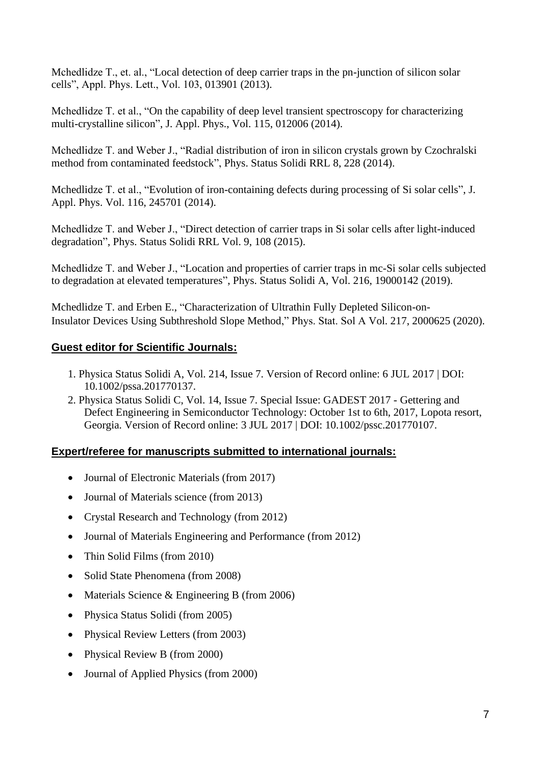Mchedlidze T., et. al., "Local detection of deep carrier traps in the pn-junction of silicon solar cells", Appl. Phys. Lett., Vol. 103, 013901 (2013).

Mchedlidze T. et al., "On the capability of deep level transient spectroscopy for characterizing multi-crystalline silicon", J. Appl. Phys., Vol. 115, 012006 (2014).

Mchedlidze T. and Weber J., "Radial distribution of iron in silicon crystals grown by Czochralski method from contaminated feedstock", Phys. Status Solidi RRL 8, 228 (2014).

Mchedlidze T. et al., "Evolution of iron-containing defects during processing of Si solar cells", J. Appl. Phys. Vol. 116, 245701 (2014).

Mchedlidze T. and Weber J., "Direct detection of carrier traps in Si solar cells after light-induced degradation", Phys. Status Solidi RRL Vol. 9, 108 (2015).

Mchedlidze T. and Weber J., "Location and properties of carrier traps in mc-Si solar cells subjected to degradation at elevated temperatures", Phys. Status Solidi A, Vol. 216, 19000142 (2019).

Mchedlidze T. and Erben E., "Characterization of Ultrathin Fully Depleted Silicon-on-Insulator Devices Using Subthreshold Slope Method," Phys. Stat. Sol A Vol. 217, 2000625 (2020).

## **Guest editor for Scientific Journals:**

- 1. Physica Status Solidi A, Vol. 214, Issue 7. Version of Record online: 6 JUL 2017 | DOI: 10.1002/pssa.201770137.
- 2. Physica Status Solidi C, Vol. 14, Issue 7. Special Issue: GADEST 2017 Gettering and Defect Engineering in Semiconductor Technology: October 1st to 6th, 2017, Lopota resort, Georgia. Version of Record online: 3 JUL 2017 | DOI: 10.1002/pssc.201770107.

## **Expert/referee for manuscripts submitted to international journals:**

- Journal of Electronic Materials (from 2017)
- Journal of Materials science (from 2013)
- Crystal Research and Technology (from 2012)
- Journal of Materials Engineering and Performance (from 2012)
- Thin Solid Films (from 2010)
- Solid State Phenomena (from 2008)
- Materials Science & Engineering B (from 2006)
- Physica Status Solidi (from 2005)
- Physical Review Letters (from 2003)
- Physical Review B (from 2000)
- Journal of Applied Physics (from 2000)